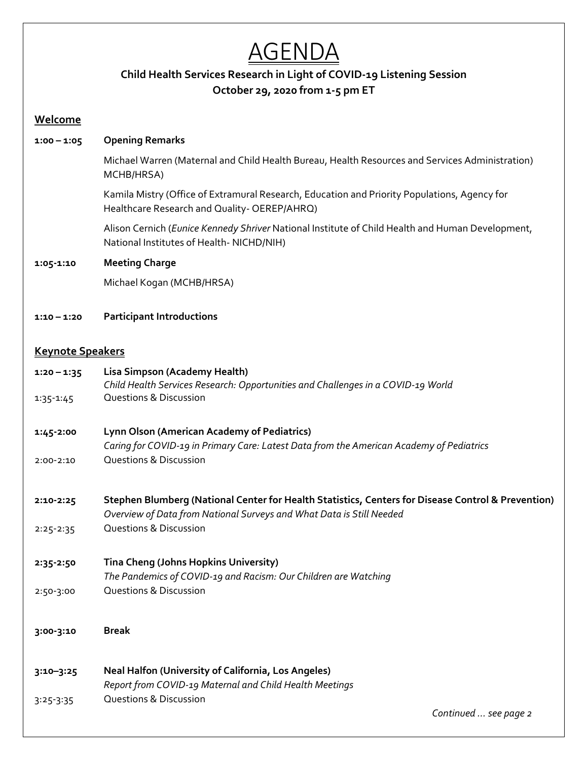# **AGENDA**

## **Child Health Services Research in Light of COVID-19 Listening Session October 29, 2020 from 1-5 pm ET**

### **Welcome**

| 1:00 – 1:05 | <b>Opening Remarks</b> |
|-------------|------------------------|
|-------------|------------------------|

Michael Warren (Maternal and Child Health Bureau, Health Resources and Services Administration) MCHB/HRSA)

Kamila Mistry (Office of Extramural Research, Education and Priority Populations, Agency for Healthcare Research and Quality- OEREP/AHRQ)

Alison Cernich (*Eunice Kennedy Shriver* National Institute of Child Health and Human Development, National Institutes of Health- NICHD/NIH)

### **1:05-1:10 Meeting Charge**

Michael Kogan (MCHB/HRSA)

**1:10 – 1:20 Participant Introductions** 

## **Keynote Speakers**

| $1:20 - 1:35$ | Lisa Simpson (Academy Health)                                                                      |
|---------------|----------------------------------------------------------------------------------------------------|
|               | Child Health Services Research: Opportunities and Challenges in a COVID-19 World                   |
| $1:35 - 1:45$ | <b>Questions &amp; Discussion</b>                                                                  |
|               |                                                                                                    |
| 1:45-2:00     | Lynn Olson (American Academy of Pediatrics)                                                        |
|               | Caring for COVID-19 in Primary Care: Latest Data from the American Academy of Pediatrics           |
| $2:00-2:10$   | <b>Questions &amp; Discussion</b>                                                                  |
|               |                                                                                                    |
| 2:10-2:25     | Stephen Blumberg (National Center for Health Statistics, Centers for Disease Control & Prevention) |
|               | Overview of Data from National Surveys and What Data is Still Needed                               |
| $2:25 - 2:35$ | <b>Questions &amp; Discussion</b>                                                                  |
|               |                                                                                                    |
| 2:35-2:50     | Tina Cheng (Johns Hopkins University)                                                              |
|               | The Pandemics of COVID-19 and Racism: Our Children are Watching                                    |
| 2:50-3:00     | <b>Questions &amp; Discussion</b>                                                                  |
|               |                                                                                                    |
|               |                                                                                                    |
| 3:00-3:10     | <b>Break</b>                                                                                       |
|               |                                                                                                    |
|               | Neal Halfon (University of California, Los Angeles)                                                |
| $3:10 - 3:25$ | Report from COVID-19 Maternal and Child Health Meetings                                            |
| $3:25-3:35$   | <b>Questions &amp; Discussion</b>                                                                  |
|               | Continued  see page 2                                                                              |
|               |                                                                                                    |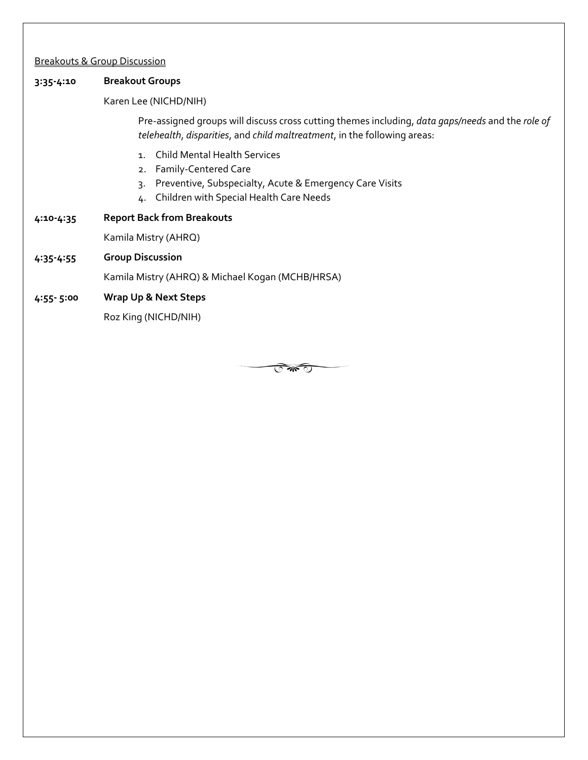#### Breakouts & Group Discussion

#### **3:35-4:10 Breakout Groups**

#### Karen Lee (NICHD/NIH)

Pre-assigned groups will discuss cross cutting themes including, *data gaps/needs* and the *role of telehealth*, *disparities*, and *child maltreatment*, in the following areas:

- 1. Child Mental Health Services
- 2. Family-Centered Care
- 3. Preventive, Subspecialty, Acute & Emergency Care Visits
- 4. Children with Special Health Care Needs
- **4:10-4:35 Report Back from Breakouts**

Kamila Mistry (AHRQ)

**4:35-4:55 Group Discussion**

Kamila Mistry (AHRQ) & Michael Kogan (MCHB/HRSA)

#### **4:55- 5:00 Wrap Up & Next Steps**

Roz King (NICHD/NIH)

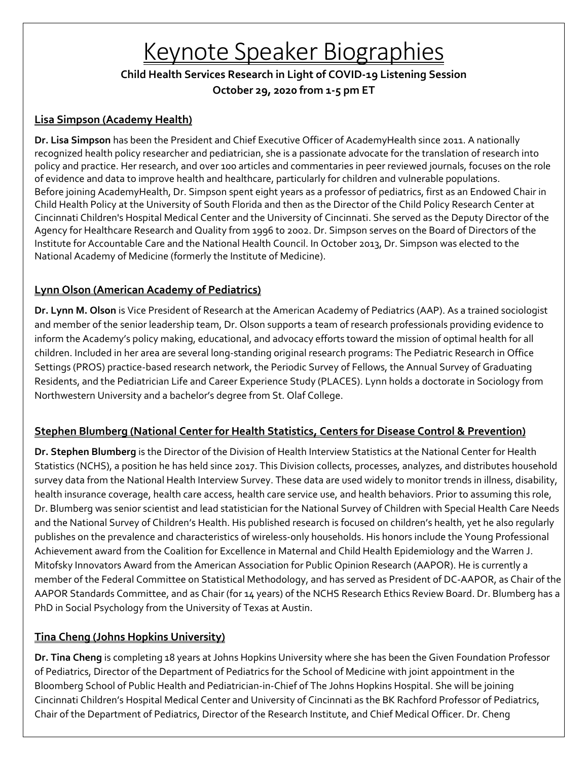# Keynote Speaker Biographies

**Child Health Services Research in Light of COVID-19 Listening Session October 29, 2020 from 1-5 pm ET**

## **Lisa Simpson (Academy Health)**

**Dr. Lisa Simpson** has been the President and Chief Executive Officer of AcademyHealth since 2011. A nationally recognized health policy researcher and pediatrician, she is a passionate advocate for the translation of research into policy and practice. Her research, and over 100 articles and commentaries in peer reviewed journals, focuses on the role of evidence and data to improve health and healthcare, particularly for children and vulnerable populations. Before joining AcademyHealth, Dr. Simpson spent eight years as a professor of pediatrics, first as an Endowed Chair in Child Health Policy at the University of South Florida and then as the Director of the Child Policy Research Center at Cincinnati Children's Hospital Medical Center and the University of Cincinnati. She served as the Deputy Director of the Agency for Healthcare Research and Quality from 1996 to 2002. Dr. Simpson serves on the Board of Directors of the Institute for Accountable Care and the National Health Council. In October 2013, Dr. Simpson was elected to the National Academy of Medicine (formerly the Institute of Medicine).

## **Lynn Olson (American Academy of Pediatrics)**

**Dr. Lynn M. Olson** is Vice President of Research at the American Academy of Pediatrics (AAP). As a trained sociologist and member of the senior leadership team, Dr. Olson supports a team of research professionals providing evidence to inform the Academy's policy making, educational, and advocacy efforts toward the mission of optimal health for all children. Included in her area are several long-standing original research programs: The Pediatric Research in Office Settings (PROS) practice-based research network, the Periodic Survey of Fellows, the Annual Survey of Graduating Residents, and the Pediatrician Life and Career Experience Study (PLACES). Lynn holds a doctorate in Sociology from Northwestern University and a bachelor's degree from St. Olaf College.

## **Stephen Blumberg (National Center for Health Statistics, Centers for Disease Control & Prevention)**

**Dr. Stephen Blumberg** is the Director of the Division of Health Interview Statistics at the National Center for Health Statistics (NCHS), a position he has held since 2017. This Division collects, processes, analyzes, and distributes household survey data from the National Health Interview Survey. These data are used widely to monitor trends in illness, disability, health insurance coverage, health care access, health care service use, and health behaviors. Prior to assuming this role, Dr. Blumberg was senior scientist and lead statistician for the National Survey of Children with Special Health Care Needs and the National Survey of Children's Health. His published research is focused on children's health, yet he also regularly publishes on the prevalence and characteristics of wireless-only households. His honors include the Young Professional Achievement award from the Coalition for Excellence in Maternal and Child Health Epidemiology and the Warren J. Mitofsky Innovators Award from the American Association for Public Opinion Research (AAPOR). He is currently a member of the Federal Committee on Statistical Methodology, and has served as President of DC-AAPOR, as Chair of the AAPOR Standards Committee, and as Chair (for 14 years) of the NCHS Research Ethics Review Board. Dr. Blumberg has a PhD in Social Psychology from the University of Texas at Austin.

## **Tina Cheng (Johns Hopkins University)**

**Dr. Tina Cheng** is completing 18 years at Johns Hopkins University where she has been the Given Foundation Professor of Pediatrics, Director of the Department of Pediatrics for the School of Medicine with joint appointment in the Bloomberg School of Public Health and Pediatrician-in-Chief of The Johns Hopkins Hospital. She will be joining Cincinnati Children's Hospital Medical Center and University of Cincinnati as the BK Rachford Professor of Pediatrics, Chair of the Department of Pediatrics, Director of the Research Institute, and Chief Medical Officer. Dr. Cheng